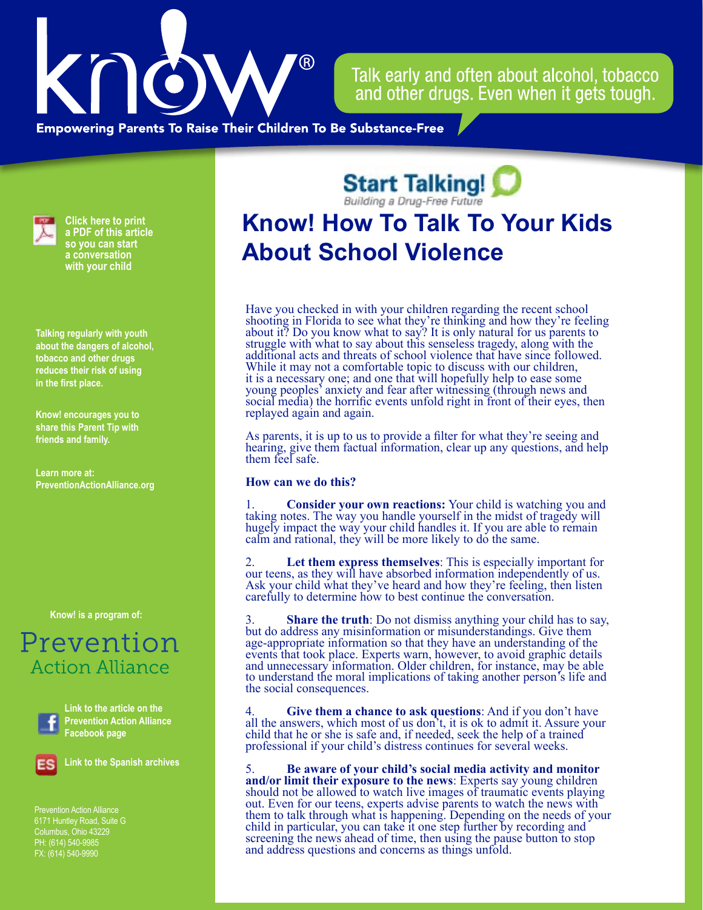

Talk early and often about alcohol, tobacco and other drugs. Even when it gets tough.

**Empowering Parents To Raise Their Children To Be Substance-Free** 



**Click here to print a PDF of this article so you can start a conversation with your child**

**Talking regularly with youth about the dangers of alcohol, tobacco and other drugs reduces their risk of using in the first place.**

**Know! encourages you to share this Parent Tip with friends and family.**

**Learn more at: PreventionActionAlliance[.org](https://www.drugfreeactionalliance.org/)**

**[Know! is a program of:](https://preventionactionalliance.org/)**

## Prevention **Action Alliance**



**Link to the article on the Prevention Action Alliance Facebook page**



**Link to the Spanish archives**

Prevention Action Alliance 6171 Huntley Road, Suite G Columbus, Ohio 43229 PH: (614) 540-9985 FX: (614) 540-9990

**Start Talking!** 

## **Know! H[ow To Talk To Yo](http://www.starttalking.ohio.gov)ur Kids About School Violence**

Have you checked in with your children regarding the recent school shooting in Florida to see what they're thinking and how they're feeling about it? Do you know what to say? It is only natural for us parents to struggle with what to say about this senseless tragedy, along with the additional acts and threats of school violence that have since followed. While it may not a comfortable topic to discuss with our children, it is a necessary one; and one that will hopefully help to ease some young peoples' anxiety and fear after witnessing (through news and social media) the horrific events unfold right in front of their eyes, then replayed again and again.

As parents, it is up to us to provide a filter for what they're seeing and hearing, give them factual information, clear up any questions, and help them feel safe.

## **How can we do this?**

1. **Consider your own reactions:** Your child is watching you and taking notes. The way you handle yourself in the midst of tragedy will hugely impact the way your child handles it. If you are able to remain calm and rational, they will be more likely to do the same.

2. **Let them express themselves**: This is especially important for our teens, as they will have absorbed information independently of us. Ask your child what they've heard and how they're feeling, then listen carefully to determine how to best continue the conversation.

3. **Share the truth**: Do not dismiss anything your child has to say, but do address any misinformation or misunderstandings. Give them age-appropriate information so that they have an understanding of the events that took place. Experts warn, however, to avoid graphic details and unnecessary information. Older children, for instance, may be able to understand the moral implications of taking another person's life and the social consequences.

4. **Give them a chance to ask questions**: And if you don't have all the answers, which most of us don't, it is ok to admit it. Assure your child that he or she is safe and, if needed, seek the help of a trained professional if your child's distress continues for several weeks.

5. **Be aware of your child's social media activity and monitor**  should not be allowed to watch live images of traumatic events playing out. Even for our teens, experts advise parents to watch the news with them to talk through what is happening. Depending on the needs of your child in particular, you can take it one step further by recording and screening the news ahead of time, then using the pause button to stop and address questions and concerns as things unfold.